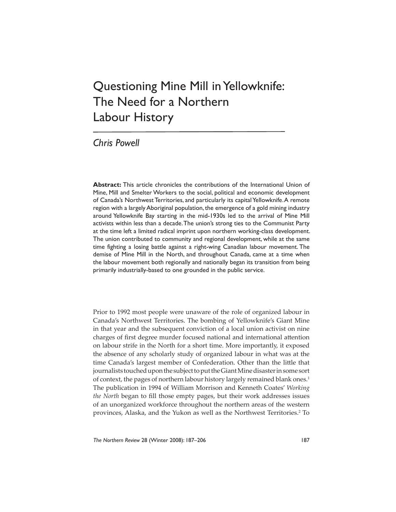## Questioning Mine Mill in Yellowknife: The Need for a Northern Labour History

*Chris Powell*

**Abstract:** This article chronicles the contributions of the International Union of Mine, Mill and Smelter Workers to the social, political and economic development of Canada's Northwest Territories, and particularly its capital Yellowknife. A remote region with a largely Aboriginal population, the emergence of a gold mining industry around Yellowknife Bay starting in the mid-1930s led to the arrival of Mine Mill activists within less than a decade. The union's strong ties to the Communist Party at the time left a limited radical imprint upon northern working-class development. The union contributed to community and regional development, while at the same time fighting a losing battle against a right-wing Canadian labour movement. The demise of Mine Mill in the North, and throughout Canada, came at a time when the labour movement both regionally and nationally began its transition from being primarily industrially-based to one grounded in the public service.

Prior to 1992 most people were unaware of the role of organized labour in Canada's Northwest Territories. The bombing of Yellowknife's Giant Mine in that year and the subsequent conviction of a local union activist on nine charges of first degree murder focused national and international attention on labour strife in the North for a short time. More importantly, it exposed the absence of any scholarly study of organized labour in what was at the time Canada's largest member of Confederation. Other than the little that journalists touched upon the subject to put the Giant Mine disaster in some sort of context, the pages of northern labour history largely remained blank ones.<sup>1</sup> The publication in 1994 of William Morrison and Kenneth Coates' *Working the North* began to fill those empty pages, but their work addresses issues of an unorganized workforce throughout the northern areas of the western provinces, Alaska, and the Yukon as well as the Northwest Territories.<sup>2</sup> To

*The Northern Review* 28 (Winter 2008): 187–206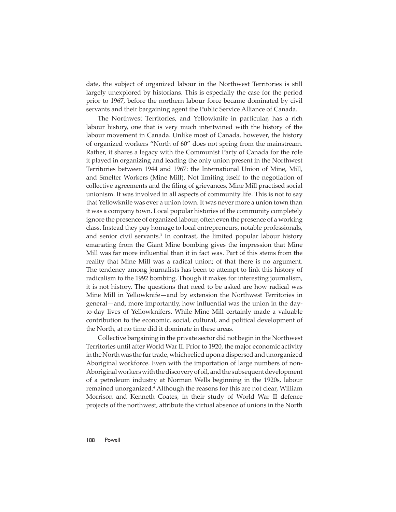date, the subject of organized labour in the Northwest Territories is still largely unexplored by historians. This is especially the case for the period prior to 1967, before the northern labour force became dominated by civil servants and their bargaining agent the Public Service Alliance of Canada.

The Northwest Territories, and Yellowknife in particular, has a rich labour history, one that is very much intertwined with the history of the labour movement in Canada. Unlike most of Canada, however, the history of organized workers "North of 60" does not spring from the mainstream. Rather, it shares a legacy with the Communist Party of Canada for the role it played in organizing and leading the only union present in the Northwest Territories between 1944 and 1967: the International Union of Mine, Mill, and Smelter Workers (Mine Mill). Not limiting itself to the negotiation of collective agreements and the filing of grievances, Mine Mill practised social unionism. It was involved in all aspects of community life. This is not to say that Yellowknife was ever a union town. It was never more a union town than it was a company town. Local popular histories of the community completely ignore the presence of organized labour, often even the presence of a working class. Instead they pay homage to local entrepreneurs, notable professionals, and senior civil servants.<sup>3</sup> In contrast, the limited popular labour history emanating from the Giant Mine bombing gives the impression that Mine Mill was far more influential than it in fact was. Part of this stems from the reality that Mine Mill was a radical union; of that there is no argument. The tendency among journalists has been to attempt to link this history of radicalism to the 1992 bombing. Though it makes for interesting journalism, it is not history. The questions that need to be asked are how radical was Mine Mill in Yellowknife—and by extension the Northwest Territories in general—and, more importantly, how influential was the union in the dayto-day lives of Yellowknifers. While Mine Mill certainly made a valuable contribution to the economic, social, cultural, and political development of the North, at no time did it dominate in these areas.

Collective bargaining in the private sector did not begin in the Northwest Territories until after World War II. Prior to 1920, the major economic activity in the North was the fur trade, which relied upon a dispersed and unorganized Aboriginal workforce. Even with the importation of large numbers of non-Aboriginal workers with the discovery of oil, and the subsequent development of a petroleum industry at Norman Wells beginning in the 1920s, labour remained unorganized.<sup>4</sup> Although the reasons for this are not clear, William Morrison and Kenneth Coates, in their study of World War II defence projects of the northwest, attribute the virtual absence of unions in the North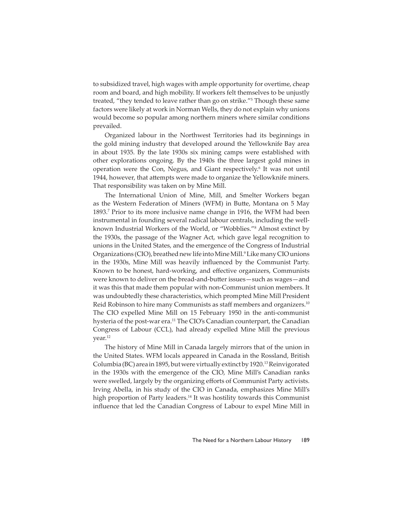to subsidized travel, high wages with ample opportunity for overtime, cheap room and board, and high mobility. If workers felt themselves to be unjustly treated, "they tended to leave rather than go on strike."5 Though these same factors were likely at work in Norman Wells, they do not explain why unions would become so popular among northern miners where similar conditions prevailed.

Organized labour in the Northwest Territories had its beginnings in the gold mining industry that developed around the Yellowknife Bay area in about 1935. By the late 1930s six mining camps were established with other explorations ongoing. By the 1940s the three largest gold mines in operation were the Con, Negus, and Giant respectively.<sup>6</sup> It was not until 1944, however, that attempts were made to organize the Yellowknife miners. That responsibility was taken on by Mine Mill.

The International Union of Mine, Mill, and Smelter Workers began as the Western Federation of Miners (WFM) in Butte, Montana on 5 May 1893.7 Prior to its more inclusive name change in 1916, the WFM had been instrumental in founding several radical labour centrals, including the wellknown Industrial Workers of the World, or "Wobblies."8 Almost extinct by the 1930s, the passage of the Wagner Act, which gave legal recognition to unions in the United States, and the emergence of the Congress of Industrial Organizations (CIO), breathed new life into Mine Mill.<sup>9</sup> Like many CIO unions in the 1930s, Mine Mill was heavily influenced by the Communist Party. Known to be honest, hard-working, and effective organizers, Communists were known to deliver on the bread-and-butter issues—such as wages—and it was this that made them popular with non-Communist union members. It was undoubtedly these characteristics, which prompted Mine Mill President Reid Robinson to hire many Communists as staff members and organizers.10 The CIO expelled Mine Mill on 15 February 1950 in the anti-communist hysteria of the post-war era.<sup>11</sup> The CIO's Canadian counterpart, the Canadian Congress of Labour (CCL), had already expelled Mine Mill the previous year.<sup>12</sup>

The history of Mine Mill in Canada largely mirrors that of the union in the United States. WFM locals appeared in Canada in the Rossland, British Columbia (BC) area in 1895, but were virtually extinct by 1920.13 Reinvigorated in the 1930s with the emergence of the CIO, Mine Mill's Canadian ranks were swelled, largely by the organizing efforts of Communist Party activists. Irving Abella, in his study of the CIO in Canada, emphasizes Mine Mill's high proportion of Party leaders.<sup>14</sup> It was hostility towards this Communist influence that led the Canadian Congress of Labour to expel Mine Mill in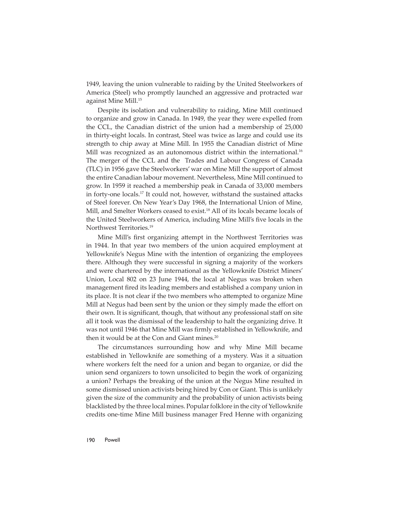1949, leaving the union vulnerable to raiding by the United Steelworkers of America (Steel) who promptly launched an aggressive and protracted war against Mine Mill.15

Despite its isolation and vulnerability to raiding, Mine Mill continued to organize and grow in Canada. In 1949, the year they were expelled from the CCL, the Canadian district of the union had a membership of 25,000 in thirty-eight locals. In contrast, Steel was twice as large and could use its strength to chip away at Mine Mill. In 1955 the Canadian district of Mine Mill was recognized as an autonomous district within the international.<sup>16</sup> The merger of the CCL and the Trades and Labour Congress of Canada (TLC) in 1956 gave the Steelworkers' war on Mine Mill the support of almost the entire Canadian labour movement. Nevertheless, Mine Mill continued to grow. In 1959 it reached a membership peak in Canada of 33,000 members in forty-one locals.<sup>17</sup> It could not, however, withstand the sustained attacks of Steel forever. On New Year's Day 1968, the International Union of Mine, Mill, and Smelter Workers ceased to exist.<sup>18</sup> All of its locals became locals of the United Steelworkers of America, including Mine Mill's five locals in the Northwest Territories.19

Mine Mill's first organizing attempt in the Northwest Territories was in 1944. In that year two members of the union acquired employment at Yellowknife's Negus Mine with the intention of organizing the employees there. Although they were successful in signing a majority of the workers and were chartered by the international as the Yellowknife District Miners' Union, Local 802 on 23 June 1944, the local at Negus was broken when management fired its leading members and established a company union in its place. It is not clear if the two members who attempted to organize Mine Mill at Negus had been sent by the union or they simply made the effort on their own. It is significant, though, that without any professional staff on site all it took was the dismissal of the leadership to halt the organizing drive. It was not until 1946 that Mine Mill was firmly established in Yellowknife, and then it would be at the Con and Giant mines.<sup>20</sup>

The circumstances surrounding how and why Mine Mill became established in Yellowknife are something of a mystery. Was it a situation where workers felt the need for a union and began to organize, or did the union send organizers to town unsolicited to begin the work of organizing a union? Perhaps the breaking of the union at the Negus Mine resulted in some dismissed union activists being hired by Con or Giant. This is unlikely given the size of the community and the probability of union activists being blacklisted by the three local mines. Popular folklore in the city of Yellowknife credits one-time Mine Mill business manager Fred Henne with organizing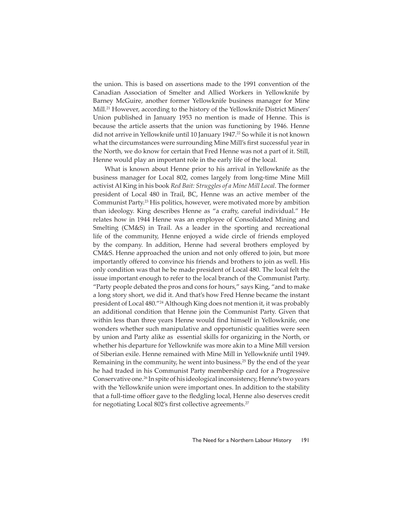the union. This is based on assertions made to the 1991 convention of the Canadian Association of Smelter and Allied Workers in Yellowknife by Barney McGuire, another former Yellowknife business manager for Mine Mill.<sup>21</sup> However, according to the history of the Yellowknife District Miners' Union published in January 1953 no mention is made of Henne. This is because the article asserts that the union was functioning by 1946. Henne did not arrive in Yellowknife until 10 January 1947.<sup>22</sup> So while it is not known what the circumstances were surrounding Mine Mill's first successful year in the North, we do know for certain that Fred Henne was not a part of it. Still, Henne would play an important role in the early life of the local.

What is known about Henne prior to his arrival in Yellowknife as the business manager for Local 802, comes largely from long-time Mine Mill activist Al King in his book *Red Bait: Struggles of a Mine Mill Local*. The former president of Local 480 in Trail, BC, Henne was an active member of the Communist Party.23 His politics, however, were motivated more by ambition than ideology. King describes Henne as "a crafty, careful individual." He relates how in 1944 Henne was an employee of Consolidated Mining and Smelting (CM&S) in Trail. As a leader in the sporting and recreational life of the community, Henne enjoyed a wide circle of friends employed by the company. In addition, Henne had several brothers employed by CM&S. Henne approached the union and not only offered to join, but more importantly offered to convince his friends and brothers to join as well. His only condition was that he be made president of Local 480. The local felt the issue important enough to refer to the local branch of the Communist Party. "Party people debated the pros and cons for hours," says King, "and to make a long story short, we did it. And that's how Fred Henne became the instant president of Local 480."24 Although King does not mention it, it was probably an additional condition that Henne join the Communist Party. Given that within less than three years Henne would find himself in Yellowknife, one wonders whether such manipulative and opportunistic qualities were seen by union and Party alike as essential skills for organizing in the North, or whether his departure for Yellowknife was more akin to a Mine Mill version of Siberian exile. Henne remained with Mine Mill in Yellowknife until 1949. Remaining in the community, he went into business.<sup>25</sup> By the end of the year he had traded in his Communist Party membership card for a Progressive Conservative one.26 In spite of his ideological inconsistency, Henne's two years with the Yellowknife union were important ones. In addition to the stability that a full-time officer gave to the fledgling local, Henne also deserves credit for negotiating Local 802's first collective agreements.<sup>27</sup>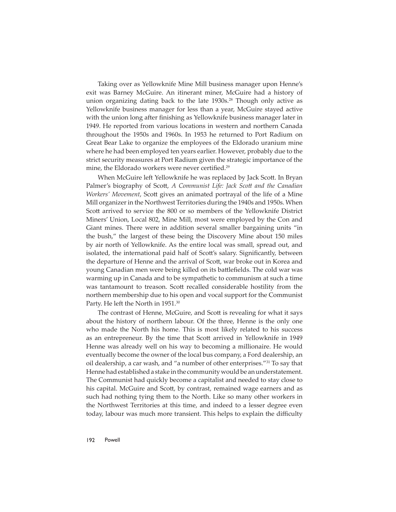Taking over as Yellowknife Mine Mill business manager upon Henne's exit was Barney McGuire. An itinerant miner, McGuire had a history of union organizing dating back to the late 1930s.<sup>28</sup> Though only active as Yellowknife business manager for less than a year, McGuire stayed active with the union long after finishing as Yellowknife business manager later in 1949. He reported from various locations in western and northern Canada throughout the 1950s and 1960s. In 1953 he returned to Port Radium on Great Bear Lake to organize the employees of the Eldorado uranium mine where he had been employed ten years earlier. However, probably due to the strict security measures at Port Radium given the strategic importance of the mine, the Eldorado workers were never certified.<sup>29</sup>

When McGuire left Yellowknife he was replaced by Jack Scott. In Bryan Palmer's biography of Scott, A Communist Life: Jack Scott and the Canadian *Workers' Movement*, Scott gives an animated portrayal of the life of a Mine Mill organizer in the Northwest Territories during the 1940s and 1950s. When Scott arrived to service the 800 or so members of the Yellowknife District Miners' Union, Local 802, Mine Mill, most were employed by the Con and Giant mines. There were in addition several smaller bargaining units "in the bush," the largest of these being the Discovery Mine about 150 miles by air north of Yellowknife. As the entire local was small, spread out, and isolated, the international paid half of Scott's salary. Significantly, between the departure of Henne and the arrival of Scott, war broke out in Korea and young Canadian men were being killed on its battlefields. The cold war was warming up in Canada and to be sympathetic to communism at such a time was tantamount to treason. Scott recalled considerable hostility from the northern membership due to his open and vocal support for the Communist Party. He left the North in 1951.<sup>30</sup>

The contrast of Henne, McGuire, and Scott is revealing for what it says about the history of northern labour. Of the three, Henne is the only one who made the North his home. This is most likely related to his success as an entrepreneur. By the time that Scott arrived in Yellowknife in 1949 Henne was already well on his way to becoming a millionaire. He would eventually become the owner of the local bus company, a Ford dealership, an oil dealership, a car wash, and "a number of other enterprises."31 To say that Henne had established a stake in the community would be an understatement. The Communist had quickly become a capitalist and needed to stay close to his capital. McGuire and Scott, by contrast, remained wage earners and as such had nothing tying them to the North. Like so many other workers in the Northwest Territories at this time, and indeed to a lesser degree even today, labour was much more transient. This helps to explain the difficulty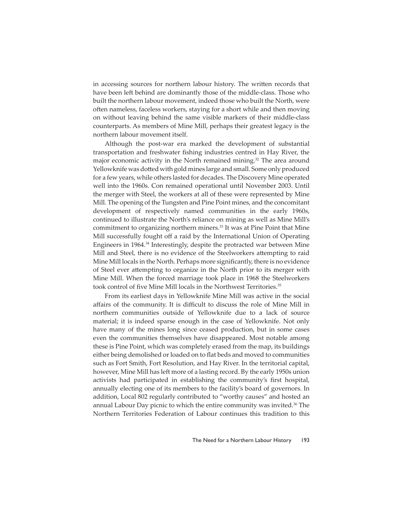in accessing sources for northern labour history. The written records that have been left behind are dominantly those of the middle-class. Those who built the northern labour movement, indeed those who built the North, were often nameless, faceless workers, staying for a short while and then moving on without leaving behind the same visible markers of their middle-class counterparts. As members of Mine Mill, perhaps their greatest legacy is the northern labour movement itself.

Although the post-war era marked the development of substantial transportation and freshwater fishing industries centred in Hay River, the major economic activity in the North remained mining.<sup>32</sup> The area around Yellowknife was dotted with gold mines large and small. Some only produced for a few years, while others lasted for decades. The Discovery Mine operated well into the 1960s. Con remained operational until November 2003. Until the merger with Steel, the workers at all of these were represented by Mine Mill. The opening of the Tungsten and Pine Point mines, and the concomitant development of respectively named communities in the early 1960s, continued to illustrate the North's reliance on mining as well as Mine Mill's commitment to organizing northern miners.<sup>33</sup> It was at Pine Point that Mine Mill successfully fought off a raid by the International Union of Operating Engineers in 1964.34 Interestingly, despite the protracted war between Mine Mill and Steel, there is no evidence of the Steelworkers attempting to raid Mine Mill locals in the North. Perhaps more significantly, there is no evidence of Steel ever attempting to organize in the North prior to its merger with Mine Mill. When the forced marriage took place in 1968 the Steelworkers took control of five Mine Mill locals in the Northwest Territories.<sup>35</sup>

From its earliest days in Yellowknife Mine Mill was active in the social affairs of the community. It is difficult to discuss the role of Mine Mill in northern communities outside of Yellowknife due to a lack of source material; it is indeed sparse enough in the case of Yellowknife. Not only have many of the mines long since ceased production, but in some cases even the communities themselves have disappeared. Most notable among these is Pine Point, which was completely erased from the map, its buildings either being demolished or loaded on to flat beds and moved to communities such as Fort Smith, Fort Resolution, and Hay River. In the territorial capital, however, Mine Mill has left more of a lasting record. By the early 1950s union activists had participated in establishing the community's first hospital, annually electing one of its members to the facility's board of governors. In addition, Local 802 regularly contributed to "worthy causes" and hosted an annual Labour Day picnic to which the entire community was invited.<sup>36</sup> The Northern Territories Federation of Labour continues this tradition to this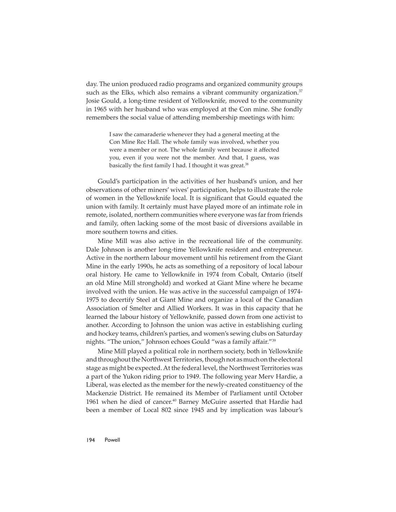day. The union produced radio programs and organized community groups such as the Elks, which also remains a vibrant community organization.<sup>37</sup> Josie Gould, a long-time resident of Yellowknife, moved to the community in 1965 with her husband who was employed at the Con mine. She fondly remembers the social value of attending membership meetings with him:

> I saw the camaraderie whenever they had a general meeting at the Con Mine Rec Hall. The whole family was involved, whether you were a member or not. The whole family went because it affected you, even if you were not the member. And that, I guess, was basically the first family I had. I thought it was great.<sup>38</sup>

Gould's participation in the activities of her husband's union, and her observations of other miners' wives' participation, helps to illustrate the role of women in the Yellowknife local. It is significant that Gould equated the union with family. It certainly must have played more of an intimate role in remote, isolated, northern communities where everyone was far from friends and family, often lacking some of the most basic of diversions available in more southern towns and cities.

Mine Mill was also active in the recreational life of the community. Dale Johnson is another long-time Yellowknife resident and entrepreneur. Active in the northern labour movement until his retirement from the Giant Mine in the early 1990s, he acts as something of a repository of local labour oral history. He came to Yellowknife in 1974 from Cobalt, Ontario (itself an old Mine Mill stronghold) and worked at Giant Mine where he became involved with the union. He was active in the successful campaign of 1974- 1975 to decertify Steel at Giant Mine and organize a local of the Canadian Association of Smelter and Allied Workers. It was in this capacity that he learned the labour history of Yellowknife, passed down from one activist to another. According to Johnson the union was active in establishing curling and hockey teams, children's parties, and women's sewing clubs on Saturday nights. "The union," Johnson echoes Gould "was a family affair."<sup>39</sup>

Mine Mill played a political role in northern society, both in Yellowknife and throughout the Northwest Territories, though not as much on the electoral stage as might be expected. At the federal level, the Northwest Territories was a part of the Yukon riding prior to 1949. The following year Merv Hardie, a Liberal, was elected as the member for the newly-created constituency of the Mackenzie District. He remained its Member of Parliament until October 1961 when he died of cancer.<sup>40</sup> Barney McGuire asserted that Hardie had been a member of Local 802 since 1945 and by implication was labour's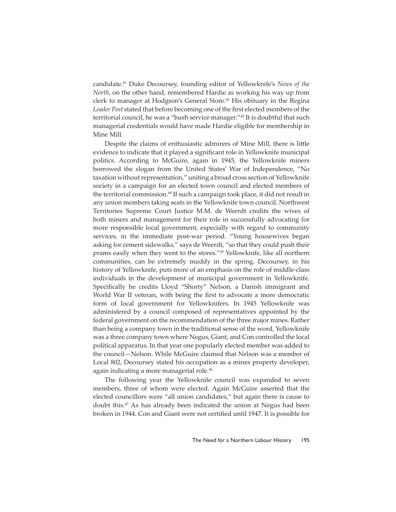candidate.41 Duke Decoursey, founding editor of Yellowknife's *News of the North*, on the other hand, remembered Hardie as working his way up from clerk to manager at Hodgson's General Store.<sup>42</sup> His obituary in the Regina Leader Post stated that before becoming one of the first elected members of the territorial council, he was a "bush service manager."43 It is doubtful that such managerial credentials would have made Hardie eligible for membership in Mine Mill.

Despite the claims of enthusiastic admirers of Mine Mill, there is little evidence to indicate that it played a significant role in Yellowknife municipal politics. According to McGuire, again in 1945, the Yellowknife miners borrowed the slogan from the United States' War of Independence, "No taxation without representation," uniting a broad cross section of Yellowknife society in a campaign for an elected town council and elected members of the territorial commission.44 If such a campaign took place, it did not result in any union members taking seats in the Yellowknife town council. Northwest Territories Supreme Court Justice M.M. de Weerdt credits the wives of both miners and management for their role in successfully advocating for more responsible local government, especially with regard to community services, in the immediate post-war period. "Young housewives began asking for cement sidewalks," says de Weerdt, "so that they could push their prams easily when they went to the stores."45 Yellowknife, like all northern communities, can be extremely muddy in the spring. Decoursey, in his history of Yellowknife, puts more of an emphasis on the role of middle-class individuals in the development of municipal government in Yellowknife. Specifically he credits Lloyd "Shorty" Nelson, a Danish immigrant and World War II veteran, with being the first to advocate a more democratic form of local government for Yellowknifers. In 1945 Yellowknife was administered by a council composed of representatives appointed by the federal government on the recommendation of the three major mines. Rather than being a company town in the traditional sense of the word, Yellowknife was a three company town where Negus, Giant, and Con controlled the local political apparatus. In that year one popularly elected member was added to the council—Nelson. While McGuire claimed that Nelson was a member of Local 802, Decoursey stated his occupation as a mines property developer, again indicating a more managerial role.<sup>46</sup>

The following year the Yellowknife council was expanded to seven members, three of whom were elected. Again McGuire asserted that the elected councillors were "all union candidates," but again there is cause to doubt this.<sup>47</sup> As has already been indicated the union at Negus had been broken in 1944. Con and Giant were not certified until 1947. It is possible for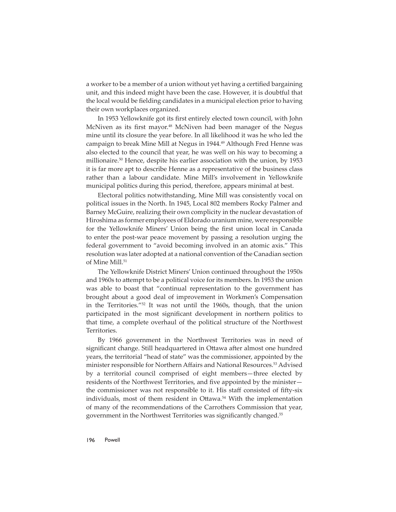a worker to be a member of a union without yet having a certified bargaining unit, and this indeed might have been the case. However, it is doubtful that the local would be fielding candidates in a municipal election prior to having their own workplaces organized.

In 1953 Yellowknife got its first entirely elected town council, with John McNiven as its first mayor.<sup>48</sup> McNiven had been manager of the Negus mine until its closure the year before. In all likelihood it was he who led the campaign to break Mine Mill at Negus in 1944.<sup>49</sup> Although Fred Henne was also elected to the council that year, he was well on his way to becoming a millionaire.50 Hence, despite his earlier association with the union, by 1953 it is far more apt to describe Henne as a representative of the business class rather than a labour candidate. Mine Mill's involvement in Yellowknife municipal politics during this period, therefore, appears minimal at best.

Electoral politics notwithstanding, Mine Mill was consistently vocal on political issues in the North. In 1945, Local 802 members Rocky Palmer and Barney McGuire, realizing their own complicity in the nuclear devastation of Hiroshima as former employees of Eldorado uranium mine, were responsible for the Yellowknife Miners' Union being the first union local in Canada to enter the post-war peace movement by passing a resolution urging the federal government to "avoid becoming involved in an atomic axis." This resolution was later adopted at a national convention of the Canadian section of Mine Mill.<sup>51</sup>

The Yellowknife District Miners' Union continued throughout the 1950s and 1960s to attempt to be a political voice for its members. In 1953 the union was able to boast that "continual representation to the government has brought about a good deal of improvement in Workmen's Compensation in the Territories."52 It was not until the 1960s, though, that the union participated in the most significant development in northern politics to that time, a complete overhaul of the political structure of the Northwest Territories.

By 1966 government in the Northwest Territories was in need of significant change. Still headquartered in Ottawa after almost one hundred years, the territorial "head of state" was the commissioner, appointed by the minister responsible for Northern Affairs and National Resources.<sup>53</sup> Advised by a territorial council comprised of eight members—three elected by residents of the Northwest Territories, and five appointed by the minister the commissioner was not responsible to it. His staff consisted of fifty-six individuals, most of them resident in Ottawa.<sup>54</sup> With the implementation of many of the recommendations of the Carrothers Commission that year, government in the Northwest Territories was significantly changed.<sup>55</sup>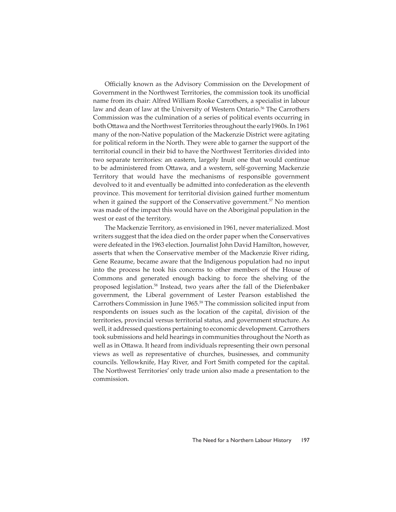Officially known as the Advisory Commission on the Development of Government in the Northwest Territories, the commission took its unofficial name from its chair: Alfred William Rooke Carrothers, a specialist in labour law and dean of law at the University of Western Ontario.<sup>56</sup> The Carrothers Commission was the culmination of a series of political events occurring in both Ottawa and the Northwest Territories throughout the early 1960s. In 1961 many of the non-Native population of the Mackenzie District were agitating for political reform in the North. They were able to garner the support of the territorial council in their bid to have the Northwest Territories divided into two separate territories: an eastern, largely Inuit one that would continue to be administered from Ottawa, and a western, self-governing Mackenzie Territory that would have the mechanisms of responsible government devolved to it and eventually be admitted into confederation as the eleventh province. This movement for territorial division gained further momentum when it gained the support of the Conservative government.<sup>57</sup> No mention was made of the impact this would have on the Aboriginal population in the west or east of the territory.

The Mackenzie Territory, as envisioned in 1961, never materialized. Most writers suggest that the idea died on the order paper when the Conservatives were defeated in the 1963 election. Journalist John David Hamilton, however, asserts that when the Conservative member of the Mackenzie River riding, Gene Reaume, became aware that the Indigenous population had no input into the process he took his concerns to other members of the House of Commons and generated enough backing to force the shelving of the proposed legislation.<sup>58</sup> Instead, two years after the fall of the Diefenbaker government, the Liberal government of Lester Pearson established the Carrothers Commission in June 1965.59 The commission solicited input from respondents on issues such as the location of the capital, division of the territories, provincial versus territorial status, and government structure. As well, it addressed questions pertaining to economic development. Carrothers took submissions and held hearings in communities throughout the North as well as in Ottawa. It heard from individuals representing their own personal views as well as representative of churches, businesses, and community councils. Yellowknife, Hay River, and Fort Smith competed for the capital. The Northwest Territories' only trade union also made a presentation to the commission.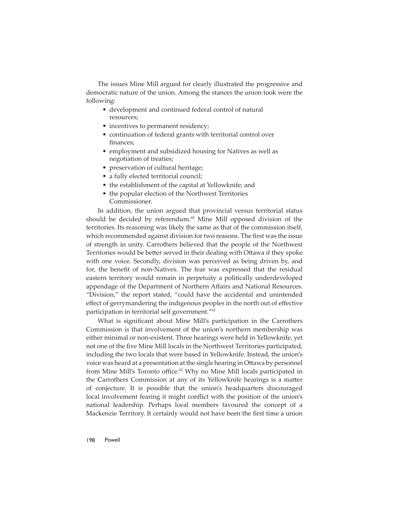The issues Mine Mill argued for clearly illustrated the progressive and democratic nature of the union. Among the stances the union took were the following:

- development and continued federal control of natural resources;
- incentives to permanent residency;
- continuation of federal grants with territorial control over finances;
- employment and subsidized housing for Natives as well as negotiation of treaties;
- preservation of cultural heritage;
- a fully elected territorial council;
- the establishment of the capital at Yellowknife; and
- the popular election of the Northwest Territories Commissioner.

In addition, the union argued that provincial versus territorial status should be decided by referendum.<sup>60</sup> Mine Mill opposed division of the territories. Its reasoning was likely the same as that of the commission itself, which recommended against division for two reasons. The first was the issue of strength in unity. Carrothers believed that the people of the Northwest Territories would be better served in their dealing with Ottawa if they spoke with one voice. Secondly, division was perceived as being driven by, and for, the benefit of non-Natives. The fear was expressed that the residual eastern territory would remain in perpetuity a politically underdeveloped appendage of the Department of Northern Affairs and National Resources. "Division," the report stated, "could have the accidental and unintended effect of gerrymandering the indigenous peoples in the north out of effective participation in territorial self government."61

What is significant about Mine Mill's participation in the Carrothers Commission is that involvement of the union's northern membership was either minimal or non-existent. Three hearings were held in Yellowknife, yet not one of the five Mine Mill locals in the Northwest Territories participated, including the two locals that were based in Yellowknife. Instead, the union's voice was heard at a presentation at the single hearing in Ottawa by personnel from Mine Mill's Toronto office.<sup>62</sup> Why no Mine Mill locals participated in the Carrothers Commission at any of its Yellowknife hearings is a matter of conjecture. It is possible that the union's headquarters discouraged local involvement fearing it might conflict with the position of the union's national leadership. Perhaps local members favoured the concept of a Mackenzie Territory. It certainly would not have been the first time a union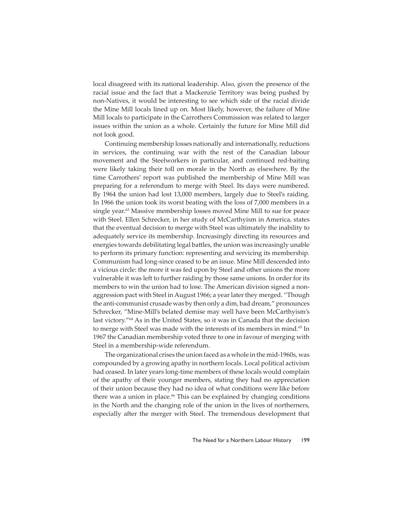local disagreed with its national leadership. Also, given the presence of the racial issue and the fact that a Mackenzie Territory was being pushed by non-Natives, it would be interesting to see which side of the racial divide the Mine Mill locals lined up on. Most likely, however, the failure of Mine Mill locals to participate in the Carrothers Commission was related to larger issues within the union as a whole. Certainly the future for Mine Mill did not look good.

Continuing membership losses nationally and internationally, reductions in services, the continuing war with the rest of the Canadian labour movement and the Steelworkers in particular, and continued red-baiting were likely taking their toll on morale in the North as elsewhere. By the time Carrothers' report was published the membership of Mine Mill was preparing for a referendum to merge with Steel. Its days were numbered. By 1964 the union had lost 13,000 members, largely due to Steel's raiding. In 1966 the union took its worst beating with the loss of 7,000 members in a single year.63 Massive membership losses moved Mine Mill to sue for peace with Steel. Ellen Schrecker, in her study of McCarthyism in America, states that the eventual decision to merge with Steel was ultimately the inability to adequately service its membership. Increasingly directing its resources and energies towards debilitating legal battles, the union was increasingly unable to perform its primary function: representing and servicing its membership. Communism had long-since ceased to be an issue. Mine Mill descended into a vicious circle: the more it was fed upon by Steel and other unions the more vulnerable it was left to further raiding by those same unions. In order for its members to win the union had to lose. The American division signed a nonaggression pact with Steel in August 1966; a year later they merged. "Though the anti-communist crusade was by then only a dim, bad dream," pronounces Schrecker, "Mine-Mill's belated demise may well have been McCarthyism's last victory."64 As in the United States, so it was in Canada that the decision to merge with Steel was made with the interests of its members in mind.<sup>65</sup> In 1967 the Canadian membership voted three to one in favour of merging with Steel in a membership-wide referendum.

The organizational crises the union faced as a whole in the mid-1960s, was compounded by a growing apathy in northern locals. Local political activism had ceased. In later years long-time members of these locals would complain of the apathy of their younger members, stating they had no appreciation of their union because they had no idea of what conditions were like before there was a union in place.<sup>66</sup> This can be explained by changing conditions in the North and the changing role of the union in the lives of northerners, especially after the merger with Steel. The tremendous development that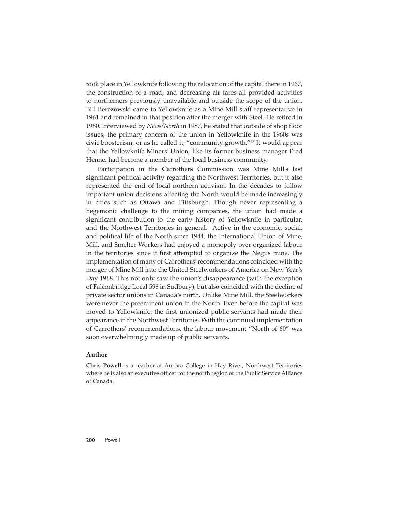took place in Yellowknife following the relocation of the capital there in 1967, the construction of a road, and decreasing air fares all provided activities to northerners previously unavailable and outside the scope of the union. Bill Berezowski came to Yellowknife as a Mine Mill staff representative in 1961 and remained in that position after the merger with Steel. He retired in 1980. Interviewed by *News/North* in 1987, he stated that outside of shop floor issues, the primary concern of the union in Yellowknife in the 1960s was civic boosterism, or as he called it, "community growth."67 It would appear that the Yellowknife Miners' Union, like its former business manager Fred Henne, had become a member of the local business community.

Participation in the Carrothers Commission was Mine Mill's last significant political activity regarding the Northwest Territories, but it also represented the end of local northern activism. In the decades to follow important union decisions affecting the North would be made increasingly in cities such as Ottawa and Pittsburgh. Though never representing a hegemonic challenge to the mining companies, the union had made a significant contribution to the early history of Yellowknife in particular, and the Northwest Territories in general. Active in the economic, social, and political life of the North since 1944, the International Union of Mine, Mill, and Smelter Workers had enjoyed a monopoly over organized labour in the territories since it first attempted to organize the Negus mine. The implementation of many of Carrothers' recommendations coincided with the merger of Mine Mill into the United Steelworkers of America on New Year's Day 1968. This not only saw the union's disappearance (with the exception of Falconbridge Local 598 in Sudbury), but also coincided with the decline of private sector unions in Canada's north. Unlike Mine Mill, the Steelworkers were never the preeminent union in the North. Even before the capital was moved to Yellowknife, the first unionized public servants had made their appearance in the Northwest Territories. With the continued implementation of Carrothers' recommendations, the labour movement "North of 60" was soon overwhelmingly made up of public servants.

## **Author**

**Chris Powell** is a teacher at Aurora College in Hay River, Northwest Territories where he is also an executive officer for the north region of the Public Service Alliance of Canada.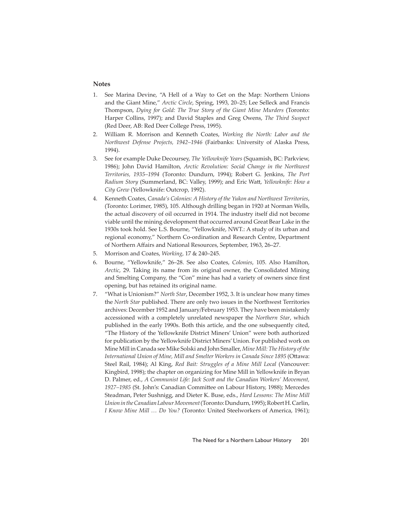## **Notes**

- 1. See Marina Devine, "A Hell of a Way to Get on the Map: Northern Unions and the Giant Mine," *Arctic Circle*, Spring, 1993, 20–25; Lee Selleck and Francis Thompson, *Dying for Gold: The True Story of the Giant Mine Murders* (Toronto: Harper Collins, 1997); and David Staples and Greg Owens, *The Third Suspect* (Red Deer, AB: Red Deer College Press, 1995).
- 2. William R. Morrison and Kenneth Coates, *Working the North: Labor and the Northwest Defense Projects, 1942–1946* (Fairbanks: University of Alaska Press, 1994).
- 3. See for example Duke Decoursey, *The Yellowknife Years* (Squamish, BC: Parkview, 1986); John David Hamilton, *Arctic Revolution: Social Change in the Northwest Territories, 1935–1994* (Toronto: Dundurn, 1994); Robert G. Jenkins, *The Port Radium Story* (Summerland, BC: Valley, 1999); and Eric Watt, *Yellowknife: How a City Grew* (Yellowknife: Outcrop, 1992).
- 4. Kenneth Coates, *Canada's Colonies: A History of the Yukon and Northwest Territories*, (Toronto: Lorimer, 1985), 105. Although drilling began in 1920 at Norman Wells, the actual discovery of oil occurred in 1914. The industry itself did not become viable until the mining development that occurred around Great Bear Lake in the 1930s took hold. See L.S. Bourne, "Yellowknife, NWT.: A study of its urban and regional economy," Northern Co-ordination and Research Centre, Department of Northern Affairs and National Resources, September, 1963, 26-27.
- 5. Morrison and Coates, *Working*, 17 & 240–245.
- 6. Bourne, "Yellowknife," 26–28. See also Coates, *Colonies*, 105. Also Hamilton, *Arctic*, 29. Taking its name from its original owner, the Consolidated Mining and Smelting Company, the "Con" mine has had a variety of owners since first opening, but has retained its original name.
- 7. "What is Unionism?" *North Star*, December 1952, 3. It is unclear how many times the *North Star* published. There are only two issues in the Northwest Territories archives: December 1952 and January/February 1953. They have been mistakenly accessioned with a completely unrelated newspaper the *Northern Star*, which published in the early 1990s. Both this article, and the one subsequently cited, "The History of the Yellowknife District Miners' Union" were both authorized for publication by the Yellowknife District Miners' Union. For published work on Mine Mill in Canada see Mike Solski and John Smaller, *Mine Mill: The History of the International Union of Mine, Mill and Smelter Workers in Canada Since 1895* (Ottawa: Steel Rail, 1984); Al King, *Red Bait: Struggles of a Mine Mill Local* (Vancouver: Kingbird, 1998); the chapter on organizing for Mine Mill in Yellowknife in Bryan D. Palmer, ed., *A Communist Life: Jack Scott and the Canadian Workers' Movement,*  1927–1985 (St. John's: Canadian Committee on Labour History, 1988); Mercedes Steadman, Peter Sushnigg, and Dieter K. Buse, eds., *Hard Lessons: The Mine Mill Union in the Canadian Labour Movement* (Toronto: Dundurn, 1995); Robert H. Carlin, *I Know Mine Mill … Do You?* (Toronto: United Steelworkers of America, 1961);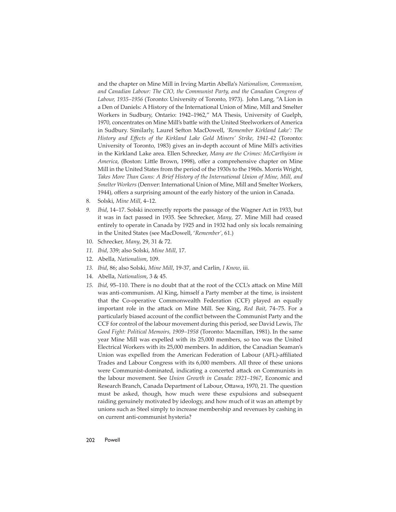and the chapter on Mine Mill in Irving Martin Abella's *Nationalism, Communism, and Canadian Labour: The CIO, the Communist Party, and the Canadian Congress of Labour, 1935–1956* (Toronto: University of Toronto, 1973). John Lang, "A Lion in a Den of Daniels: A History of the International Union of Mine, Mill and Smelter Workers in Sudbury, Ontario: 1942–1962," MA Thesis, University of Guelph, 1970, concentrates on Mine Mill's battle with the United Steelworkers of America in Sudbury. Similarly, Laurel Sefton MacDowell, 'Remember Kirkland Lake': The *History and Eff ects of the Kirkland Lake Gold Miners' Strike, 1941-42* (Toronto: University of Toronto, 1983) gives an in-depth account of Mine Mill's activities in the Kirkland Lake area. Ellen Schrecker, *Many are the Crimes: McCarthyism in America*, (Boston: Little Brown, 1998), offer a comprehensive chapter on Mine Mill in the United States from the period of the 1930s to the 1960s. Morris Wright, *Takes More Than Guns: A Brief History of the International Union of Mine, Mill, and Smelter Workers* (Denver: International Union of Mine, Mill and Smelter Workers, 1944), offers a surprising amount of the early history of the union in Canada.

- 8. Solski, *Mine Mill*, 4–12.
- *9. Ibid*, 14–17. Solski incorrectly reports the passage of the Wagner Act in 1933, but it was in fact passed in 1935. See Schrecker, *Many*, 27. Mine Mill had ceased entirely to operate in Canada by 1925 and in 1932 had only six locals remaining in the United States (see MacDowell, '*Remember'*, 61.)
- 10. Schrecker, *Many*, 29, 31 & 72.
- *11. Ibid*, 339; also Solski, *Mine Mill*, 17.
- 12. Abella*, Nationalism*, 109.
- *13. Ibid*, 86; also Solski, *Mine Mill*, 19-37, and Carlin, *I Know*, iii.
- 14. Abella, *Nationalism*, 3 & 45.
- 15. *Ibid*, 95–110. There is no doubt that at the root of the CCL's attack on Mine Mill was anti-communism. Al King, himself a Party member at the time, is insistent that the Co-operative Commonwealth Federation (CCF) played an equally important role in the attack on Mine Mill. See King, *Red Bait*, 74-75. For a particularly biased account of the conflict between the Communist Party and the CCF for control of the labour movement during this period, see David Lewis, *The Good Fight: Political Memoirs, 1909–1958* (Toronto: Macmillan, 1981). In the same year Mine Mill was expelled with its 25,000 members, so too was the United Electrical Workers with its 25,000 members. In addition, the Canadian Seaman's Union was expelled from the American Federation of Labour (AFL)-affiliated Trades and Labour Congress with its 6,000 members. All three of these unions were Communist-dominated, indicating a concerted attack on Communists in the labour movement. See *Union Growth in Canada: 1921–1967*, Economic and Research Branch, Canada Department of Labour, Ottawa, 1970, 21. The question must be asked, though, how much were these expulsions and subsequent raiding genuinely motivated by ideology, and how much of it was an attempt by unions such as Steel simply to increase membership and revenues by cashing in on current anti-communist hysteria?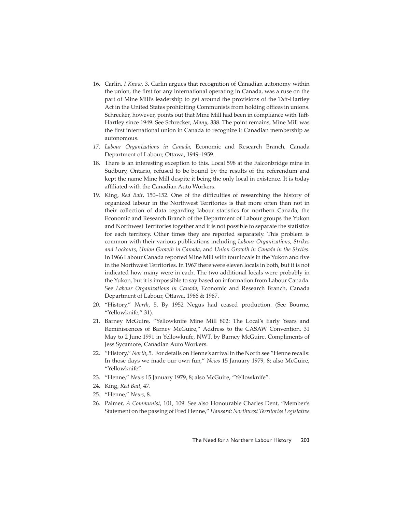- 16. Carlin, *I Know*, 3. Carlin argues that recognition of Canadian autonomy within the union, the first for any international operating in Canada, was a ruse on the part of Mine Mill's leadership to get around the provisions of the Taft-Hartley Act in the United States prohibiting Communists from holding offices in unions. Schrecker, however, points out that Mine Mill had been in compliance with Taft-Hartley since 1949. See Schrecker, *Many*, 338. The point remains, Mine Mill was the first international union in Canada to recognize it Canadian membership as autonomous.
- *17. Labour Organizations in Canada*, Economic and Research Branch, Canada Department of Labour, Ottawa, 1949–1959.
- 18. There is an interesting exception to this. Local 598 at the Falconbridge mine in Sudbury, Ontario, refused to be bound by the results of the referendum and kept the name Mine Mill despite it being the only local in existence. It is today affiliated with the Canadian Auto Workers.
- 19. King, *Red Bait*, 150–152. One of the difficulties of researching the history of organized labour in the Northwest Territories is that more often than not in their collection of data regarding labour statistics for northern Canada, the Economic and Research Branch of the Department of Labour groups the Yukon and Northwest Territories together and it is not possible to separate the statistics for each territory. Other times they are reported separately. This problem is common with their various publications including *Labour Organizations*, *Strikes and Lockouts*, *Union Growth in Canada*, and *Union Growth in Canada in the Sixties*. In 1966 Labour Canada reported Mine Mill with four locals in the Yukon and five in the Northwest Territories. In 1967 there were eleven locals in both, but it is not indicated how many were in each. The two additional locals were probably in the Yukon, but it is impossible to say based on information from Labour Canada. See *Labour Organizations in Canada*, Economic and Research Branch, Canada Department of Labour, Ottawa, 1966 & 1967.
- 20. "History," *North*, 5. By 1952 Negus had ceased production. (See Bourne, "Yellowknife," 31).
- 21. Barney McGuire, "Yellowknife Mine Mill 802: The Local's Early Years and Reminiscences of Barney McGuire," Address to the CASAW Convention, 31 May to 2 June 1991 in Yellowknife, NWT. by Barney McGuire. Compliments of Jess Sycamore, Canadian Auto Workers.
- 22. "History," *North*, 5. For details on Henne's arrival in the North see "Henne recalls: In those days we made our own fun," *News* 15 January 1979, 8; also McGuire, "Yellowknife".
- 23. "Henne," *News* 15 January 1979, 8; also McGuire, "Yellowknife".
- 24. King, *Red Bait*, 47.
- 25. "Henne," *News*, 8.
- 26. Palmer, *A Communist*, 101, 109. See also Honourable Charles Dent, "Member's Statement on the passing of Fred Henne," *Hansard: Northwest Territories Legislative*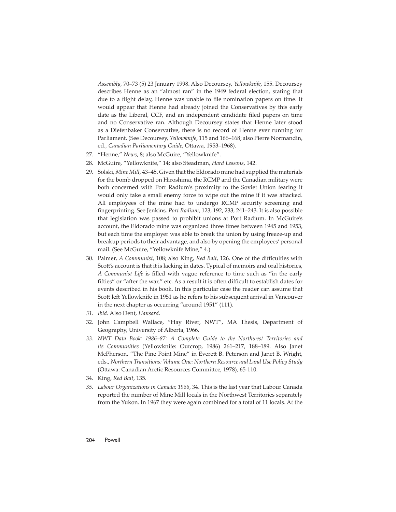*Assembly*, 70–73 (5) 23 January 1998. Also Decoursey, *Yellowknife*, 155. Decoursey describes Henne as an "almost ran" in the 1949 federal election, stating that due to a flight delay, Henne was unable to file nomination papers on time. It would appear that Henne had already joined the Conservatives by this early date as the Liberal, CCF, and an independent candidate filed papers on time and no Conservative ran. Although Decoursey states that Henne later stood as a Diefenbaker Conservative, there is no record of Henne ever running for Parliament. (See Decoursey, *Yellowknife*, 115 and 166–168; also Pierre Normandin, ed., Canadian Parliamentary Guide, Ottawa, 1953-1968).

- 27. "Henne," *News*, 8; also McGuire, "Yellowknife".
- 28. McGuire, "Yellowknife," 14; also Steadman, *Hard Lessons*, 142.
- 29. Solski, *Mine Mill*, 43–45. Given that the Eldorado mine had supplied the materials for the bomb dropped on Hiroshima, the RCMP and the Canadian military were both concerned with Port Radium's proximity to the Soviet Union fearing it would only take a small enemy force to wipe out the mine if it was attacked. All employees of the mine had to undergo RCMP security screening and fi ngerprinting. See Jenkins*, Port Radium*, 123, 192, 233, 241–243. It is also possible that legislation was passed to prohibit unions at Port Radium. In McGuire's account, the Eldorado mine was organized three times between 1945 and 1953, but each time the employer was able to break the union by using freeze-up and breakup periods to their advantage, and also by opening the employees' personal mail. (See McGuire, "Yellowknife Mine," 4.)
- 30. Palmer, *A Communist*, 108; also King, *Red Bait*, 126. One of the difficulties with Scott's account is that it is lacking in dates. Typical of memoirs and oral histories, *A Communist Life* is filled with vague reference to time such as "in the early fifties" or "after the war," etc. As a result it is often difficult to establish dates for events described in his book. In this particular case the reader can assume that Scott left Yellowknife in 1951 as he refers to his subsequent arrival in Vancouver in the next chapter as occurring "around 1951" (111).
- *31. Ibid*. Also Dent, *Hansard*.
- 32. John Campbell Wallace, "Hay River, NWT", MA Thesis, Department of Geography, University of Alberta, 1966.
- *33. NWT Data Book: 1986–87: A Complete Guide to the Northwest Territories and its Communities* (Yellowknife: Outcrop, 1986) 261–217, 188–189. Also Janet McPherson, "The Pine Point Mine" in Everett B. Peterson and Janet B. Wright, eds., *Northern Transitions: Volume One: Northern Resource and Land Use Policy Study* (Ottawa: Canadian Arctic Resources Committee, 1978), 65-110.
- 34. King, *Red Bait*, 135.
- *35. Labour Organizations in Canada: 1966*, 34. This is the last year that Labour Canada reported the number of Mine Mill locals in the Northwest Territories separately from the Yukon. In 1967 they were again combined for a total of 11 locals. At the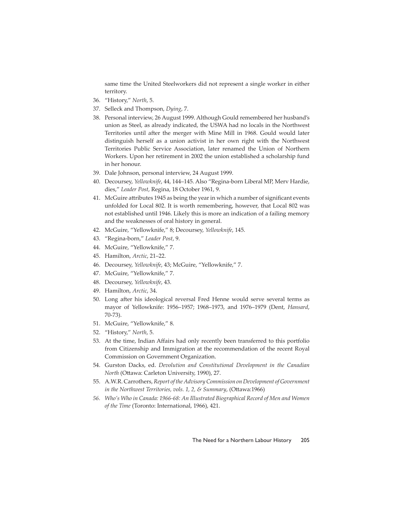same time the United Steelworkers did not represent a single worker in either territory.

- 36. "History," *North*, 5.
- 37. Selleck and Thompson, *Dying*, 7.
- 38. Personal interview, 26 August 1999. Although Gould remembered her husband's union as Steel, as already indicated, the USWA had no locals in the Northwest Territories until after the merger with Mine Mill in 1968. Gould would later distinguish herself as a union activist in her own right with the Northwest Territories Public Service Association, later renamed the Union of Northern Workers. Upon her retirement in 2002 the union established a scholarship fund in her honour.
- 39. Dale Johnson, personal interview, 24 August 1999.
- 40. Decoursey, *Yellowknife*, 44, 144–145. Also "Regina-born Liberal MP, Merv Hardie, dies," *Leader Post*, Regina, 18 October 1961, 9.
- 41. McGuire attributes 1945 as being the year in which a number of significant events unfolded for Local 802. It is worth remembering, however, that Local 802 was not established until 1946. Likely this is more an indication of a failing memory and the weaknesses of oral history in general.
- 42. McGuire, "Yellowknife," 8; Decoursey, *Yellowknife*, 145.
- 43. "Regina-born," *Leader Post*, 9.
- 44. McGuire, "Yellowknife," 7.
- 45. Hamilton, *Arctic*, 21–22.
- 46. Decoursey, *Yellowknife*, 43; McGuire, "Yellowknife," 7.
- 47. McGuire, "Yellowknife," 7.
- 48. Decoursey, *Yellowknife*, 43.
- 49. Hamilton, *Arctic*, 34.
- 50. Long after his ideological reversal Fred Henne would serve several terms as mayor of Yellowknife: 1956–1957; 1968–1973, and 1976–1979 (Dent, *Hansard*, 70-73).
- 51. McGuire, "Yellowknife," 8.
- 52. "History," *North*, 5.
- 53. At the time, Indian Affairs had only recently been transferred to this portfolio from Citizenship and Immigration at the recommendation of the recent Royal Commission on Government Organization.
- 54. Gurston Dacks, ed. *Devolution and Constitutional Development in the Canadian North* (Ottawa: Carleton University, 1990), 27.
- 55. A.W.R. Carrothers, *Report of the Advisory Commission on Development of Government in the Northwest Territories, vols. 1, 2, & Summary, (Ottawa:1966)*
- *56. Who's Who in Canada: 1966-68: An Illustrated Biographical Record of Men and Women of the Time* (Toronto: International, 1966), 421.